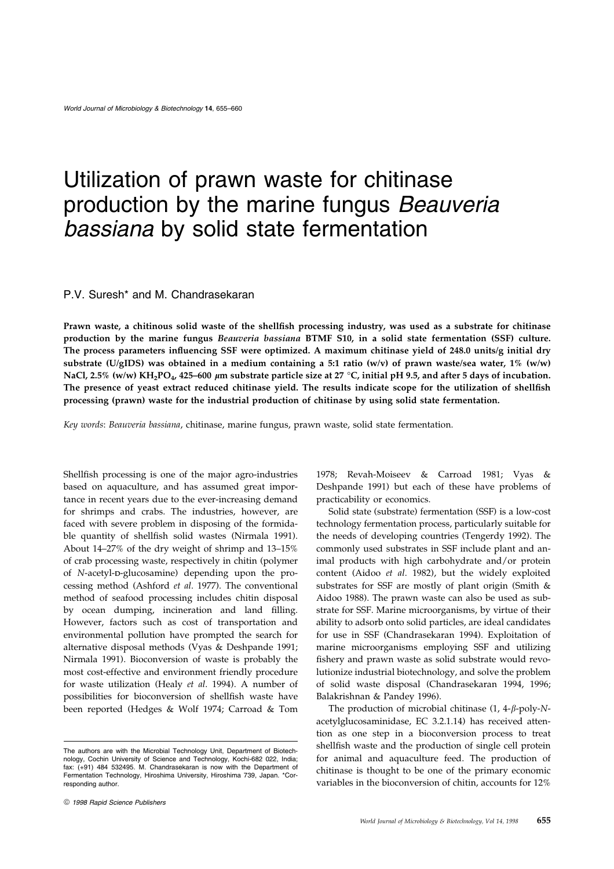# Utilization of prawn waste for chitinase production by the marine fungus Beauveria bassiana by solid state fermentation

# P.V. Suresh\* and M. Chandrasekaran

Prawn waste, a chitinous solid waste of the shellfish processing industry, was used as a substrate for chitinase production by the marine fungus Beauveria bassiana BTMF S10, in a solid state fermentation (SSF) culture. The process parameters influencing SSF were optimized. A maximum chitinase yield of 248.0 units/g initial dry substrate (U/gIDS) was obtained in a medium containing a 5:1 ratio (w/v) of prawn waste/sea water, 1% (w/w) NaCl, 2.5% (w/w) KH<sub>2</sub>PO<sub>4</sub>, 425-600 µm substrate particle size at 27 °C, initial pH 9.5, and after 5 days of incubation. The presence of yeast extract reduced chitinase yield. The results indicate scope for the utilization of shellfish processing (prawn) waste for the industrial production of chitinase by using solid state fermentation.

Key words: Beauveria bassiana, chitinase, marine fungus, prawn waste, solid state fermentation.

Shellfish processing is one of the major agro-industries based on aquaculture, and has assumed great importance in recent years due to the ever-increasing demand for shrimps and crabs. The industries, however, are faced with severe problem in disposing of the formidable quantity of shellfish solid wastes (Nirmala 1991). About 14 $-27\%$  of the dry weight of shrimp and 13 $-15\%$ of crab processing waste, respectively in chitin (polymer of N-acetyl-D-glucosamine) depending upon the processing method (Ashford et al. 1977). The conventional method of seafood processing includes chitin disposal by ocean dumping, incineration and land filling. However, factors such as cost of transportation and environmental pollution have prompted the search for alternative disposal methods (Vyas & Deshpande 1991; Nirmala 1991). Bioconversion of waste is probably the most cost-effective and environment friendly procedure for waste utilization (Healy et al. 1994). A number of possibilities for bioconversion of shellfish waste have been reported (Hedges & Wolf 1974; Carroad & Tom 1978; Revah-Moiseev & Carroad 1981; Vyas & Deshpande 1991) but each of these have problems of practicability or economics.

Solid state (substrate) fermentation (SSF) is a low-cost technology fermentation process, particularly suitable for the needs of developing countries (Tengerdy 1992). The commonly used substrates in SSF include plant and animal products with high carbohydrate and/or protein content (Aidoo et al. 1982), but the widely exploited substrates for SSF are mostly of plant origin (Smith & Aidoo 1988). The prawn waste can also be used as substrate for SSF. Marine microorganisms, by virtue of their ability to adsorb onto solid particles, are ideal candidates for use in SSF (Chandrasekaran 1994). Exploitation of marine microorganisms employing SSF and utilizing fishery and prawn waste as solid substrate would revolutionize industrial biotechnology, and solve the problem of solid waste disposal (Chandrasekaran 1994, 1996; Balakrishnan & Pandey 1996).

The production of microbial chitinase  $(1, 4-\beta$ -poly-Nacetylglucosaminidase, EC 3.2.1.14) has received attention as one step in a bioconversion process to treat shellfish waste and the production of single cell protein for animal and aquaculture feed. The production of chitinase is thought to be one of the primary economic variables in the bioconversion of chitin, accounts for 12%

The authors are with the Microbial Technology Unit, Department of Biotechnology, Cochin University of Science and Technology, Kochi-682 022, India; fax: (+91) 484 532495. M. Chandrasekaran is now with the Department of Fermentation Technology, Hiroshima University, Hiroshima 739, Japan. \*Corresponding author.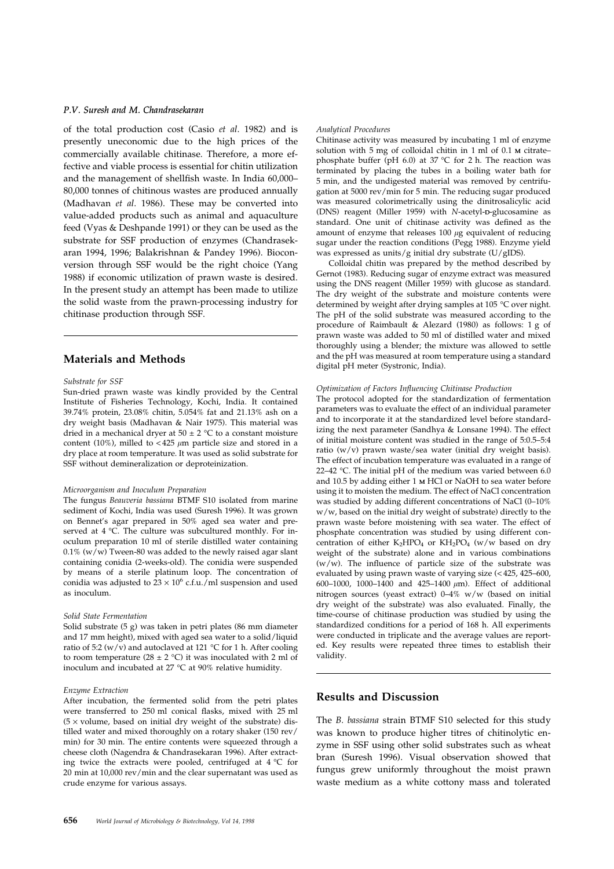## P.V. Suresh and M. Chandrasekaran

of the total production cost (Casio et al. 1982) and is presently uneconomic due to the high prices of the commercially available chitinase. Therefore, a more effective and viable process is essential for chitin utilization and the management of shellfish waste. In India 60,000-80,000 tonnes of chitinous wastes are produced annually (Madhavan et al. 1986). These may be converted into value-added products such as animal and aquaculture feed (Vyas & Deshpande 1991) or they can be used as the substrate for SSF production of enzymes (Chandrasekaran 1994, 1996; Balakrishnan & Pandey 1996). Bioconversion through SSF would be the right choice (Yang 1988) if economic utilization of prawn waste is desired. In the present study an attempt has been made to utilize the solid waste from the prawn-processing industry for chitinase production through SSF.

# Materials and Methods

#### Substrate for SSF

Sun-dried prawn waste was kindly provided by the Central Institute of Fisheries Technology, Kochi, India. It contained 39.74% protein, 23.08% chitin, 5.054% fat and 21.13% ash on a dry weight basis (Madhavan & Nair 1975). This material was dried in a mechanical dryer at  $50 \pm 2$  °C to a constant moisture content (10%), milled to <425  $\mu$ m particle size and stored in a dry place at room temperature. It was used as solid substrate for SSF without demineralization or deproteinization.

### Microorganism and Inoculum Preparation

The fungus Beauveria bassiana BTMF S10 isolated from marine sediment of Kochi, India was used (Suresh 1996). It was grown on Bennet's agar prepared in 50% aged sea water and preserved at 4 °C. The culture was subcultured monthly. For inoculum preparation 10 ml of sterile distilled water containing  $0.1\%$  (w/w) Tween-80 was added to the newly raised agar slant containing conidia (2-weeks-old). The conidia were suspended by means of a sterile platinum loop. The concentration of conidia was adjusted to  $23 \times 10^6$  c.f.u./ml suspension and used as inoculum.

#### Solid State Fermentation

Solid substrate (5 g) was taken in petri plates (86 mm diameter and 17 mm height), mixed with aged sea water to a solid/liquid ratio of 5:2 (w/v) and autoclaved at 121 °C for 1 h. After cooling to room temperature (28  $\pm$  2 °C) it was inoculated with 2 ml of inoculum and incubated at 27 °C at 90% relative humidity.

#### Enzyme Extraction

After incubation, the fermented solid from the petri plates were transferred to 250 ml conical flasks, mixed with 25 ml  $(5 \times$  volume, based on initial dry weight of the substrate) distilled water and mixed thoroughly on a rotary shaker (150 rev/ min) for 30 min. The entire contents were squeezed through a cheese cloth (Nagendra & Chandrasekaran 1996). After extracting twice the extracts were pooled, centrifuged at 4 °C for 20 min at 10,000 rev/min and the clear supernatant was used as crude enzyme for various assays.

#### Analytical Procedures

Chitinase activity was measured by incubating 1 ml of enzyme solution with 5 mg of colloidal chitin in 1 ml of 0.1 M citratephosphate buffer (pH 6.0) at 37 °C for 2 h. The reaction was terminated by placing the tubes in a boiling water bath for 5 min, and the undigested material was removed by centrifugation at 5000 rev/min for 5 min. The reducing sugar produced was measured colorimetrically using the dinitrosalicylic acid (DNS) reagent (Miller 1959) with N-acetyl-D-glucosamine as standard. One unit of chitinase activity was defined as the amount of enzyme that releases  $100 \mu$ g equivalent of reducing sugar under the reaction conditions (Pegg 1988). Enzyme yield was expressed as units/g initial dry substrate (U/gIDS).

Colloidal chitin was prepared by the method described by Gernot (1983). Reducing sugar of enzyme extract was measured using the DNS reagent (Miller 1959) with glucose as standard. The dry weight of the substrate and moisture contents were determined by weight after drying samples at 105 °C over night. The pH of the solid substrate was measured according to the procedure of Raimbault & Alezard (1980) as follows: 1 g of prawn waste was added to 50 ml of distilled water and mixed thoroughly using a blender; the mixture was allowed to settle and the pH was measured at room temperature using a standard digital pH meter (Systronic, India).

#### Optimization of Factors Influencing Chitinase Production

The protocol adopted for the standardization of fermentation parameters was to evaluate the effect of an individual parameter and to incorporate it at the standardized level before standardizing the next parameter (Sandhya & Lonsane 1994). The effect of initial moisture content was studied in the range of 5:0.5-5:4 ratio (w/v) prawn waste/sea water (initial dry weight basis). The effect of incubation temperature was evaluated in a range of 22-42 °C. The initial pH of the medium was varied between  $6.0$ and 10.5 by adding either 1 M HCl or NaOH to sea water before using it to moisten the medium. The effect of NaCl concentration was studied by adding different concentrations of NaCl (0-10%) w/w, based on the initial dry weight of substrate) directly to the prawn waste before moistening with sea water. The effect of phosphate concentration was studied by using different concentration of either  $K_2HPO_4$  or  $KH_2PO_4$  (w/w based on dry weight of the substrate) alone and in various combinations  $(w/w)$ . The influence of particle size of the substrate was evaluated by using prawn waste of varying size  $(<$  425, 425-600, 600-1000, 1000-1400 and 425-1400  $\mu$ m). Effect of additional nitrogen sources (yeast extract)  $0-4\%$  w/w (based on initial dry weight of the substrate) was also evaluated. Finally, the time-course of chitinase production was studied by using the standardized conditions for a period of 168 h. All experiments were conducted in triplicate and the average values are reported. Key results were repeated three times to establish their validity.

# Results and Discussion

The B. bassiana strain BTMF S10 selected for this study was known to produce higher titres of chitinolytic enzyme in SSF using other solid substrates such as wheat bran (Suresh 1996). Visual observation showed that fungus grew uniformly throughout the moist prawn waste medium as a white cottony mass and tolerated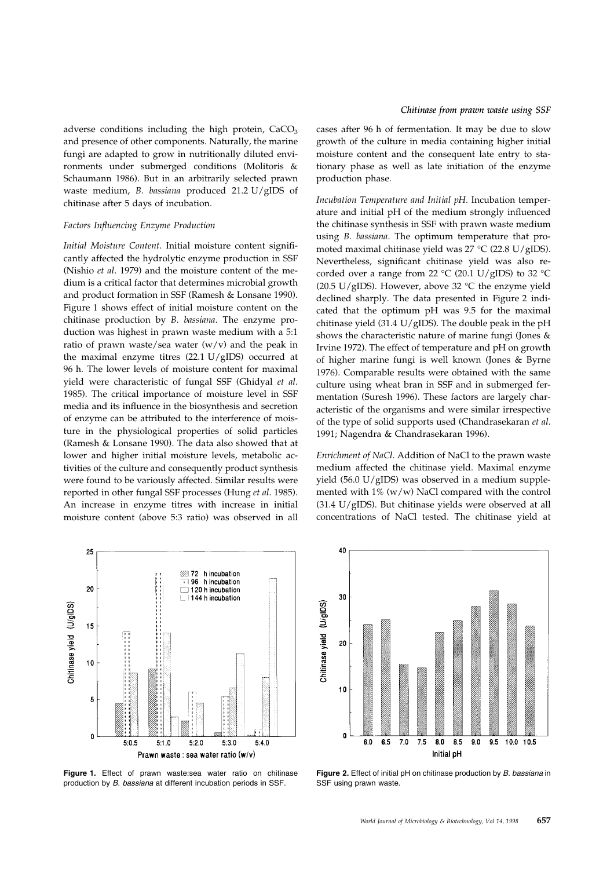adverse conditions including the high protein,  $CaCO<sub>3</sub>$ and presence of other components. Naturally, the marine fungi are adapted to grow in nutritionally diluted environments under submerged conditions (Molitoris & Schaumann 1986). But in an arbitrarily selected prawn waste medium, B. bassiana produced 21.2 U/gIDS of chitinase after 5 days of incubation.

#### Factors Influencing Enzyme Production

Initial Moisture Content. Initial moisture content significantly affected the hydrolytic enzyme production in SSF (Nishio et al. 1979) and the moisture content of the medium is a critical factor that determines microbial growth and product formation in SSF (Ramesh & Lonsane 1990). Figure 1 shows effect of initial moisture content on the chitinase production by B. bassiana. The enzyme production was highest in prawn waste medium with a 5:1 ratio of prawn waste/sea water  $(w/v)$  and the peak in the maximal enzyme titres (22.1 U/gIDS) occurred at 96 h. The lower levels of moisture content for maximal yield were characteristic of fungal SSF (Ghidyal et al. 1985). The critical importance of moisture level in SSF media and its influence in the biosynthesis and secretion of enzyme can be attributed to the interference of moisture in the physiological properties of solid particles (Ramesh & Lonsane 1990). The data also showed that at lower and higher initial moisture levels, metabolic activities of the culture and consequently product synthesis were found to be variously affected. Similar results were reported in other fungal SSF processes (Hung et al. 1985). An increase in enzyme titres with increase in initial moisture content (above 5:3 ratio) was observed in all



Figure 1. Effect of prawn waste:sea water ratio on chitinase production by B. bassiana at different incubation periods in SSF.

cases after 96 h of fermentation. It may be due to slow growth of the culture in media containing higher initial moisture content and the consequent late entry to stationary phase as well as late initiation of the enzyme production phase.

Incubation Temperature and Initial pH. Incubation temperature and initial pH of the medium strongly influenced the chitinase synthesis in SSF with prawn waste medium using B. bassiana. The optimum temperature that promoted maximal chitinase yield was 27 °C (22.8 U/gIDS). Nevertheless, significant chitinase yield was also recorded over a range from 22  $\rm{°C}$  (20.1 U/gIDS) to 32  $\rm{°C}$ (20.5 U/gIDS). However, above 32  $^{\circ}$ C the enzyme yield declined sharply. The data presented in Figure 2 indicated that the optimum pH was 9.5 for the maximal chitinase yield (31.4  $U/gIDS$ ). The double peak in the pH shows the characteristic nature of marine fungi (Jones & Irvine 1972). The effect of temperature and pH on growth of higher marine fungi is well known (Jones & Byrne 1976). Comparable results were obtained with the same culture using wheat bran in SSF and in submerged fermentation (Suresh 1996). These factors are largely characteristic of the organisms and were similar irrespective of the type of solid supports used (Chandrasekaran et al. 1991; Nagendra & Chandrasekaran 1996).

Enrichment of NaCl. Addition of NaCl to the prawn waste medium affected the chitinase yield. Maximal enzyme yield (56.0 U/gIDS) was observed in a medium supplemented with  $1\%$  (w/w) NaCl compared with the control (31.4 U/gIDS). But chitinase yields were observed at all concentrations of NaCl tested. The chitinase yield at



Figure 2. Effect of initial pH on chitinase production by B. bassiana in SSF using prawn waste.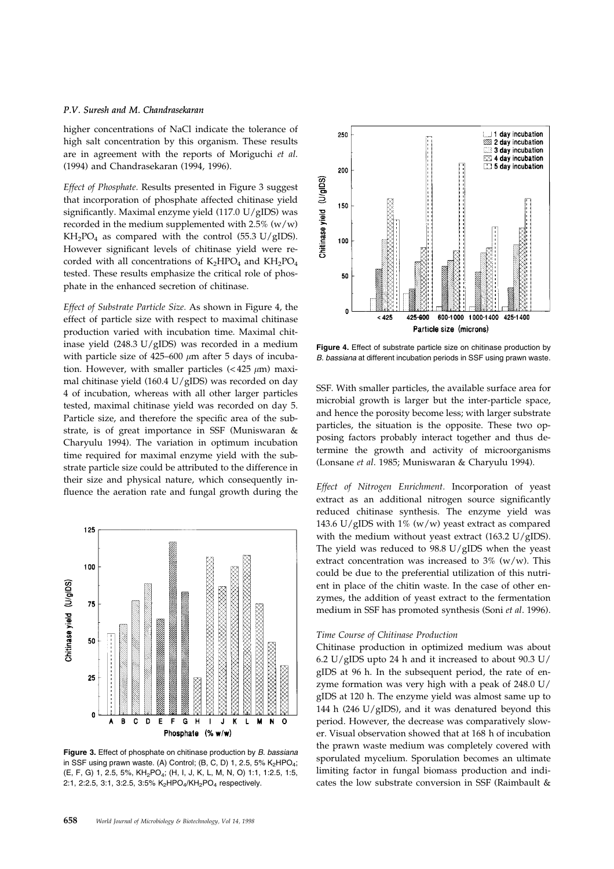# P.V. Suresh and M. Chandrasekaran

higher concentrations of NaCl indicate the tolerance of high salt concentration by this organism. These results are in agreement with the reports of Moriguchi et al. (1994) and Chandrasekaran (1994, 1996).

Effect of Phosphate. Results presented in Figure 3 suggest that incorporation of phosphate affected chitinase yield significantly. Maximal enzyme yield (117.0  $U/gIDS$ ) was recorded in the medium supplemented with  $2.5\%$  (w/w)  $KH_2PO_4$  as compared with the control (55.3 U/gIDS). However significant levels of chitinase yield were recorded with all concentrations of  $K_2HPO_4$  and  $KH_2PO_4$ tested. These results emphasize the critical role of phosphate in the enhanced secretion of chitinase.

Effect of Substrate Particle Size. As shown in Figure 4, the effect of particle size with respect to maximal chitinase production varied with incubation time. Maximal chitinase yield (248.3 U/gIDS) was recorded in a medium with particle size of  $425-600 \mu m$  after 5 days of incubation. However, with smaller particles  $( $425 \mu m$ )$  maximal chitinase yield (160.4 U/gIDS) was recorded on day 4 of incubation, whereas with all other larger particles tested, maximal chitinase yield was recorded on day 5. Particle size, and therefore the specific area of the substrate, is of great importance in SSF (Muniswaran & Charyulu 1994). The variation in optimum incubation time required for maximal enzyme yield with the substrate particle size could be attributed to the difference in their size and physical nature, which consequently in fluence the aeration rate and fungal growth during the



Figure 3. Effect of phosphate on chitinase production by B. bassiana in SSF using prawn waste. (A) Control; (B, C, D) 1, 2.5, 5%  $K_2HPO_4$ ; (E, F, G) 1, 2.5, 5%, KH2PO4; (H, I, J, K, L, M, N, O) 1:1, 1:2.5, 1:5, 2:1, 2:2.5, 3:1, 3:2.5, 3:5% K<sub>2</sub>HPO<sub>4</sub>/KH<sub>2</sub>PO<sub>4</sub> respectively.



Figure 4. Effect of substrate particle size on chitinase production by B. bassiana at different incubation periods in SSF using prawn waste.

SSF. With smaller particles, the available surface area for microbial growth is larger but the inter-particle space, and hence the porosity become less; with larger substrate particles, the situation is the opposite. These two opposing factors probably interact together and thus determine the growth and activity of microorganisms (Lonsane et al. 1985; Muniswaran & Charyulu 1994).

Effect of Nitrogen Enrichment. Incorporation of yeast extract as an additional nitrogen source significantly reduced chitinase synthesis. The enzyme yield was 143.6 U/gIDS with 1% (w/w) yeast extract as compared with the medium without yeast extract (163.2 U/gIDS). The yield was reduced to 98.8 U/gIDS when the yeast extract concentration was increased to  $3\%$  (w/w). This could be due to the preferential utilization of this nutrient in place of the chitin waste. In the case of other enzymes, the addition of yeast extract to the fermentation medium in SSF has promoted synthesis (Soni et al. 1996).

### Time Course of Chitinase Production

Chitinase production in optimized medium was about 6.2 U/gIDS upto 24 h and it increased to about 90.3 U/ gIDS at 96 h. In the subsequent period, the rate of enzyme formation was very high with a peak of 248.0 U/ gIDS at 120 h. The enzyme yield was almost same up to 144 h (246 U/gIDS), and it was denatured beyond this period. However, the decrease was comparatively slower. Visual observation showed that at 168 h of incubation the prawn waste medium was completely covered with sporulated mycelium. Sporulation becomes an ultimate limiting factor in fungal biomass production and indicates the low substrate conversion in SSF (Raimbault &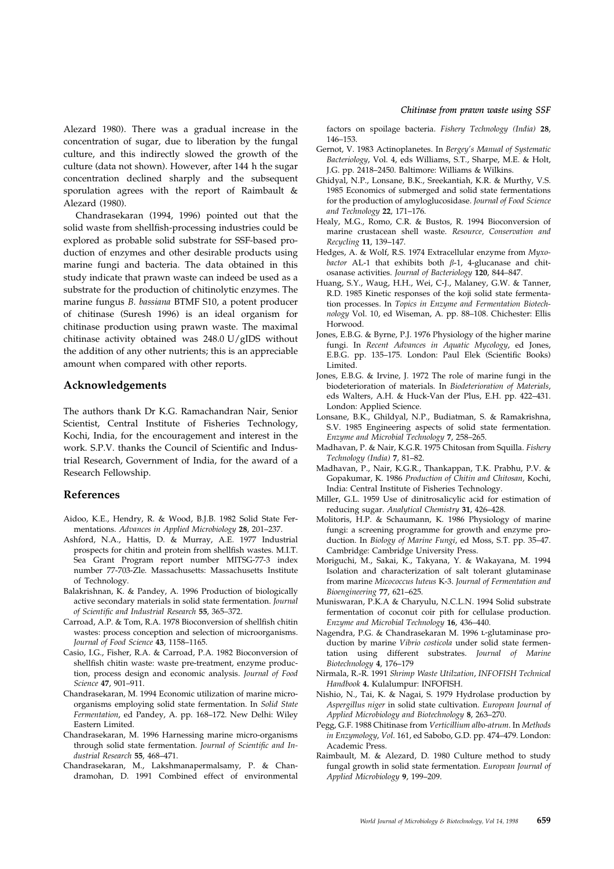Alezard 1980). There was a gradual increase in the concentration of sugar, due to liberation by the fungal culture, and this indirectly slowed the growth of the culture (data not shown). However, after 144 h the sugar concentration declined sharply and the subsequent sporulation agrees with the report of Raimbault & Alezard (1980).

Chandrasekaran (1994, 1996) pointed out that the solid waste from shellfish-processing industries could be explored as probable solid substrate for SSF-based production of enzymes and other desirable products using marine fungi and bacteria. The data obtained in this study indicate that prawn waste can indeed be used as a substrate for the production of chitinolytic enzymes. The marine fungus B. bassiana BTMF S10, a potent producer of chitinase (Suresh 1996) is an ideal organism for chitinase production using prawn waste. The maximal chitinase activity obtained was 248.0 U/gIDS without the addition of any other nutrients; this is an appreciable amount when compared with other reports.

# Acknowledgements

The authors thank Dr K.G. Ramachandran Nair, Senior Scientist, Central Institute of Fisheries Technology, Kochi, India, for the encouragement and interest in the work. S.P.V. thanks the Council of Scientific and Industrial Research, Government of India, for the award of a Research Fellowship.

# References

- Aidoo, K.E., Hendry, R. & Wood, B.J.B. 1982 Solid State Fermentations. Advances in Applied Microbiology 28, 201-237.
- Ashford, N.A., Hattis, D. & Murray, A.E. 1977 Industrial prospects for chitin and protein from shellfish wastes. M.I.T. Sea Grant Program report number MITSG-77-3 index number 77-703-Zle. Massachusetts: Massachusetts Institute of Technology.
- Balakrishnan, K. & Pandey, A. 1996 Production of biologically active secondary materials in solid state fermentation. Journal of Scientific and Industrial Research 55, 365-372.
- Carroad, A.P. & Tom, R.A. 1978 Bioconversion of shellfish chitin wastes: process conception and selection of microorganisms. Journal of Food Science 43, 1158-1165.
- Casio, I.G., Fisher, R.A. & Carroad, P.A. 1982 Bioconversion of shellfish chitin waste: waste pre-treatment, enzyme production, process design and economic analysis. Journal of Food Science 47, 901-911.
- Chandrasekaran, M. 1994 Economic utilization of marine microorganisms employing solid state fermentation. In Solid State Fermentation, ed Pandey, A. pp. 168-172. New Delhi: Wiley Eastern Limited.
- Chandrasekaran, M. 1996 Harnessing marine micro-organisms through solid state fermentation. Journal of Scientific and Industrial Research 55, 468-471.
- Chandrasekaran, M., Lakshmanapermalsamy, P. & Chandramohan, D. 1991 Combined effect of environmental

factors on spoilage bacteria. Fishery Technology (India) 28, 146±153.

- Gernot, V. 1983 Actinoplanetes. In Bergey's Manual of Systematic Bacteriology, Vol. 4, eds Williams, S.T., Sharpe, M.E. & Holt, J.G. pp. 2418-2450. Baltimore: Williams & Wilkins.
- Ghidyal, N.P., Lonsane, B.K., Sreekantiah, K.R. & Murthy, V.S. 1985 Economics of submerged and solid state fermentations for the production of amyloglucosidase. Journal of Food Science and Technology 22, 171-176.
- Healy, M.G., Romo, C.R. & Bustos, R. 1994 Bioconversion of marine crustacean shell waste. Resource, Conservation and Recycling 11, 139-147.
- Hedges, A. & Wolf, R.S. 1974 Extracellular enzyme from Myxobactor AL-1 that exhibits both  $\beta$ -1, 4-glucanase and chitosanase activities. Journal of Bacteriology 120, 844-847.
- Huang, S.Y., Waug, H.H., Wei, C-J., Malaney, G.W. & Tanner, R.D. 1985 Kinetic responses of the koji solid state fermentation processes. In Topics in Enzyme and Fermentation Biotechnology Vol. 10, ed Wiseman, A. pp. 88-108. Chichester: Ellis Horwood.
- Jones, E.B.G. & Byrne, P.J. 1976 Physiology of the higher marine fungi. In Recent Advances in Aquatic Mycology, ed Jones, E.B.G. pp. 135-175. London: Paul Elek (Scientific Books) Limited.
- Jones, E.B.G. & Irvine, J. 1972 The role of marine fungi in the biodeterioration of materials. In Biodeterioration of Materials, eds Walters, A.H. & Huck-Van der Plus, E.H. pp. 422-431. London: Applied Science.
- Lonsane, B.K., Ghildyal, N.P., Budiatman, S. & Ramakrishna, S.V. 1985 Engineering aspects of solid state fermentation. Enzyme and Microbial Technology 7, 258-265.
- Madhavan, P. & Nair, K.G.R. 1975 Chitosan from Squilla. Fishery Technology (India) 7, 81-82.
- Madhavan, P., Nair, K.G.R., Thankappan, T.K. Prabhu, P.V. & Gopakumar, K. 1986 Production of Chitin and Chitosan, Kochi, India: Central Institute of Fisheries Technology.
- Miller, G.L. 1959 Use of dinitrosalicylic acid for estimation of reducing sugar. Analytical Chemistry 31, 426-428.
- Molitoris, H.P. & Schaumann, K. 1986 Physiology of marine fungi: a screening programme for growth and enzyme production. In Biology of Marine Fungi, ed Moss, S.T. pp. 35-47. Cambridge: Cambridge University Press.
- Moriguchi, M., Sakai, K., Takyana, Y. & Wakayana, M. 1994 Isolation and characterization of salt tolerant glutaminase from marine Micococcus luteus K-3. Journal of Fermentation and Bioengineering 77, 621-625.
- Muniswaran, P.K.A & Charyulu, N.C.L.N. 1994 Solid substrate fermentation of coconut coir pith for cellulase production. Enzyme and Microbial Technology 16, 436-440.
- Nagendra, P.G. & Chandrasekaran M. 1996 L-glutaminase production by marine Vibrio costicola under solid state fermentation using different substrates. Journal of Marine Biotechnology 4, 176-179
- Nirmala, R.-R. 1991 Shrimp Waste Utilzation, INFOFISH Technical Handbook 4. Kulalumpur: INFOFISH.
- Nishio, N., Tai, K. & Nagai, S. 1979 Hydrolase production by Aspergillus niger in solid state cultivation. European Journal of Applied Microbiology and Biotechnology 8, 263-270.
- Pegg, G.F. 1988 Chitinase from Verticillium albo-atrum. In Methods in Enzymology, Vol. 161, ed Sabobo, G.D. pp. 474-479. London: Academic Press.
- Raimbault, M. & Alezard, D. 1980 Culture method to study fungal growth in solid state fermentation. European Journal of Applied Microbiology 9, 199-209.